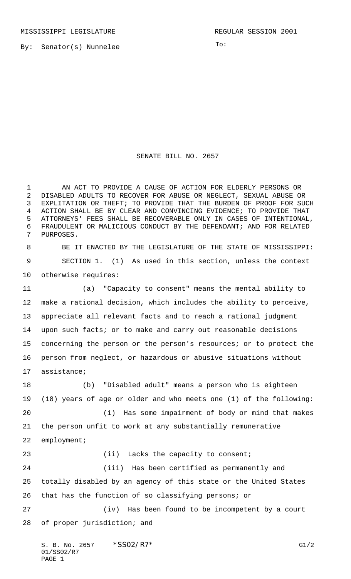MISSISSIPPI LEGISLATURE **REGULAR SESSION 2001** 

By: Senator(s) Nunnelee

To:

## SENATE BILL NO. 2657

 AN ACT TO PROVIDE A CAUSE OF ACTION FOR ELDERLY PERSONS OR DISABLED ADULTS TO RECOVER FOR ABUSE OR NEGLECT, SEXUAL ABUSE OR EXPLITATION OR THEFT; TO PROVIDE THAT THE BURDEN OF PROOF FOR SUCH ACTION SHALL BE BY CLEAR AND CONVINCING EVIDENCE; TO PROVIDE THAT ATTORNEYS' FEES SHALL BE RECOVERABLE ONLY IN CASES OF INTENTIONAL, FRAUDULENT OR MALICIOUS CONDUCT BY THE DEFENDANT; AND FOR RELATED PURPOSES.

 BE IT ENACTED BY THE LEGISLATURE OF THE STATE OF MISSISSIPPI: SECTION 1. (1) As used in this section, unless the context otherwise requires:

 (a) "Capacity to consent" means the mental ability to make a rational decision, which includes the ability to perceive, appreciate all relevant facts and to reach a rational judgment upon such facts; or to make and carry out reasonable decisions concerning the person or the person's resources; or to protect the person from neglect, or hazardous or abusive situations without assistance;

 (b) "Disabled adult" means a person who is eighteen (18) years of age or older and who meets one (1) of the following: (i) Has some impairment of body or mind that makes the person unfit to work at any substantially remunerative employment; 23 (ii) Lacks the capacity to consent; (iii) Has been certified as permanently and totally disabled by an agency of this state or the United States that has the function of so classifying persons; or (iv) Has been found to be incompetent by a court of proper jurisdiction; and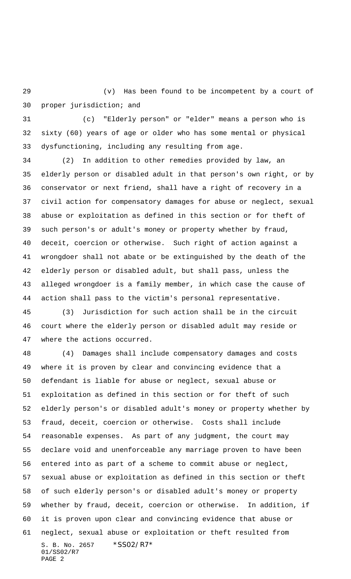(v) Has been found to be incompetent by a court of proper jurisdiction; and

 (c) "Elderly person" or "elder" means a person who is sixty (60) years of age or older who has some mental or physical dysfunctioning, including any resulting from age.

 (2) In addition to other remedies provided by law, an elderly person or disabled adult in that person's own right, or by conservator or next friend, shall have a right of recovery in a civil action for compensatory damages for abuse or neglect, sexual abuse or exploitation as defined in this section or for theft of such person's or adult's money or property whether by fraud, deceit, coercion or otherwise. Such right of action against a wrongdoer shall not abate or be extinguished by the death of the elderly person or disabled adult, but shall pass, unless the alleged wrongdoer is a family member, in which case the cause of action shall pass to the victim's personal representative.

 (3) Jurisdiction for such action shall be in the circuit court where the elderly person or disabled adult may reside or where the actions occurred.

S. B. No. 2657 \* SS02/R7\* 01/SS02/R7 PAGE 2 (4) Damages shall include compensatory damages and costs where it is proven by clear and convincing evidence that a defendant is liable for abuse or neglect, sexual abuse or exploitation as defined in this section or for theft of such elderly person's or disabled adult's money or property whether by fraud, deceit, coercion or otherwise. Costs shall include reasonable expenses. As part of any judgment, the court may declare void and unenforceable any marriage proven to have been entered into as part of a scheme to commit abuse or neglect, sexual abuse or exploitation as defined in this section or theft of such elderly person's or disabled adult's money or property whether by fraud, deceit, coercion or otherwise. In addition, if it is proven upon clear and convincing evidence that abuse or neglect, sexual abuse or exploitation or theft resulted from